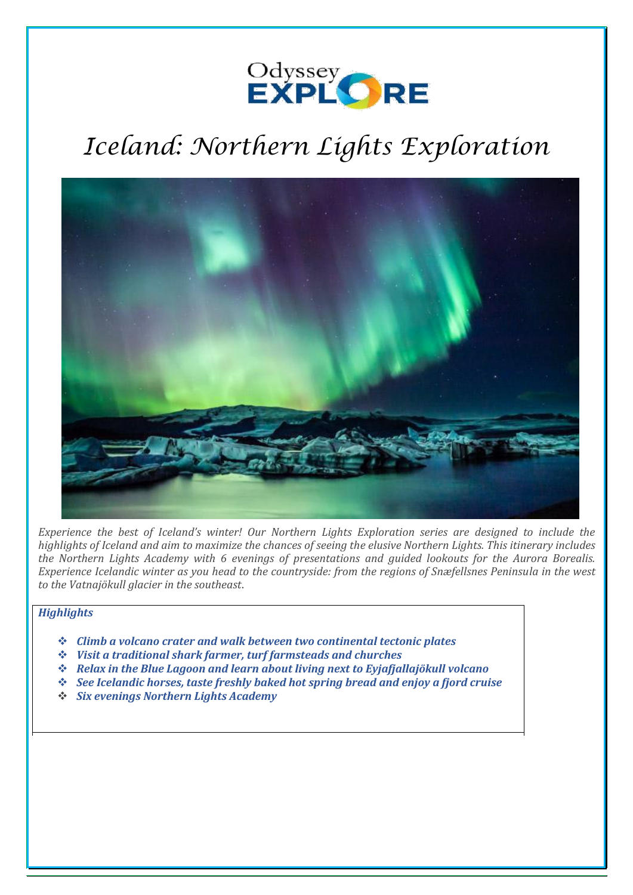# Odyssey<br>EXPLORE

# *Iceland: Northern Lights Exploration*



*Experience the best of Iceland's winter! Our Northern Lights Exploration series are designed to include the highlights of Iceland and aim to maximize the chances of seeing the elusive Northern Lights. This itinerary includes the Northern Lights Academy with 6 evenings of presentations and guided lookouts for the Aurora Borealis. Experience Icelandic winter as you head to the countryside: from the regions of Snæfellsnes Peninsula in the west to the Vatnajökull glacier in the southeast*.

# *Highlights*

- ❖ *Climb a volcano crater and walk between two continental tectonic plates*
- ❖ *Visit a traditional shark farmer, turf farmsteads and churches*
- ❖ *Relax in the Blue Lagoon and learn about living next to Eyjafjallajökull volcano*
- ❖ *See Icelandic horses, taste freshly baked hot spring bread and enjoy a fjord cruise*
- ❖ *Six evenings Northern Lights Academy*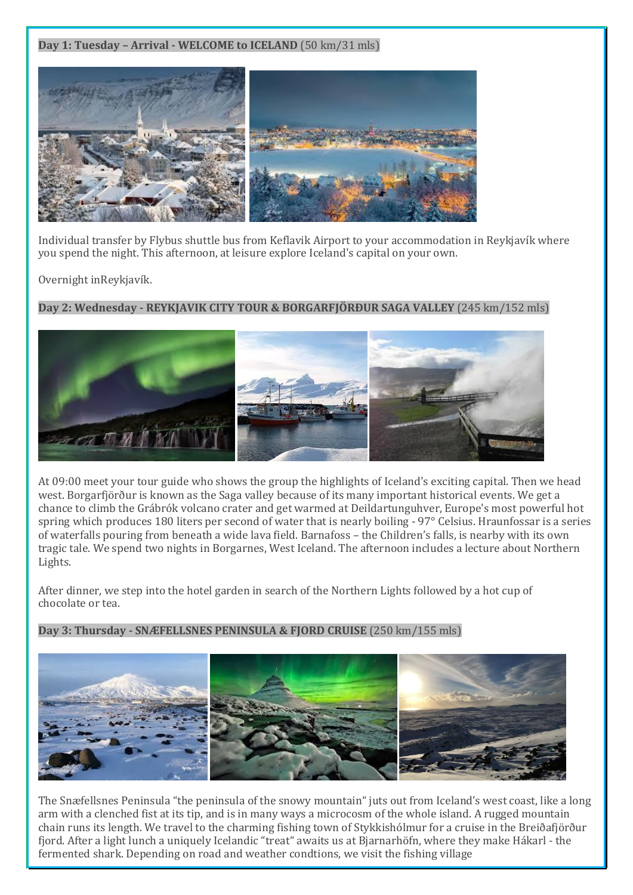**Day 1: Tuesday – Arrival - WELCOME to ICELAND** (50 km/31 mls)



Individual transfer by Flybus shuttle bus from Keflavik Airport to your accommodation in Reykjavík where you spend the night. This afternoon, at leisure explore Iceland's capital on your own.

Overnight inReykjavík.

**Day 2: Wednesday - REYKJAVIK CITY TOUR & BORGARFJÖRÐUR SAGA VALLEY** (245 km/152 mls)



At 09:00 meet your tour guide who shows the group the highlights of Iceland's exciting capital. Then we head west. Borgarfjörður is known as the Saga valley because of its many important historical events. We get a chance to climb the Grábrók volcano crater and get warmed at Deildartunguhver, Europe's most powerful hot spring which produces 180 liters per second of water that is nearly boiling - 97° Celsius. Hraunfossar is a series of waterfalls pouring from beneath a wide lava field. Barnafoss – the Children's falls, is nearby with its own tragic tale. We spend two nights in Borgarnes, West Iceland. The afternoon includes a lecture about Northern Lights.

After dinner, we step into the hotel garden in search of the Northern Lights followed by a hot cup of chocolate or tea.

**Day 3: Thursday - SNÆFELLSNES PENINSULA & FJORD CRUISE** (250 km/155 mls)



The Snæfellsnes Peninsula "the peninsula of the snowy mountain" juts out from Iceland's west coast, like a long arm with a clenched fist at its tip, and is in many ways a microcosm of the whole island. A rugged mountain chain runs its length. We travel to the charming fishing town of Stykkishólmur for a cruise in the Breiðafjörður fjord. After a light lunch a uniquely Icelandic "treat" awaits us at Bjarnarhöfn, where they make Hákarl - the fermented shark. Depending on road and weather condtions, we visit the fishing village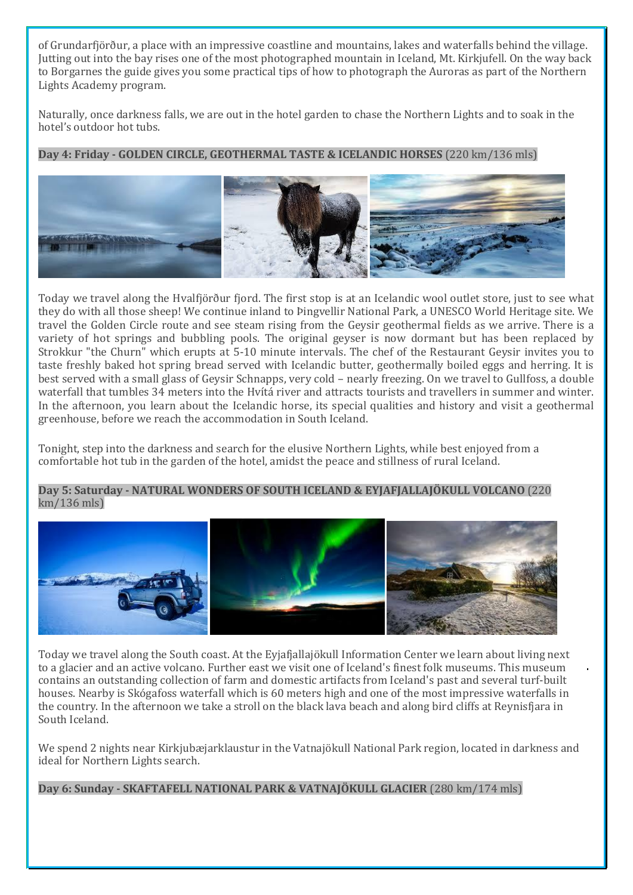of Grundarfjörður, a place with an impressive coastline and mountains, lakes and waterfalls behind the village. Jutting out into the bay rises one of the most photographed mountain in Iceland, Mt. Kirkjufell. On the way back to Borgarnes the guide gives you some practical tips of how to photograph the Auroras as part of the Northern Lights Academy program.

Naturally, once darkness falls, we are out in the hotel garden to chase the Northern Lights and to soak in the hotel's outdoor hot tubs.

# **Day 4: Friday - GOLDEN CIRCLE, GEOTHERMAL TASTE & ICELANDIC HORSES** (220 km/136 mls)



Today we travel along the Hvalfjörður fjord. The first stop is at an Icelandic wool outlet store, just to see what they do with all those sheep! We continue inland to Þingvellir National Park, a UNESCO World Heritage site. We travel the Golden Circle route and see steam rising from the Geysir geothermal fields as we arrive. There is a variety of hot springs and bubbling pools. The original geyser is now dormant but has been replaced by Strokkur "the Churn" which erupts at 5-10 minute intervals. The chef of the Restaurant Geysir invites you to taste freshly baked hot spring bread served with Icelandic butter, geothermally boiled eggs and herring. It is best served with a small glass of Geysir Schnapps, very cold – nearly freezing. On we travel to Gullfoss, a double waterfall that tumbles 34 meters into the Hvítá river and attracts tourists and travellers in summer and winter. In the afternoon, you learn about the Icelandic horse, its special qualities and history and visit a geothermal greenhouse, before we reach the accommodation in South Iceland.

Tonight, step into the darkness and search for the elusive Northern Lights, while best enjoyed from a comfortable hot tub in the garden of the hotel, amidst the peace and stillness of rural Iceland.

#### **Day 5: Saturday - NATURAL WONDERS OF SOUTH ICELAND & EYJAFJALLAJÖKULL VOLCANO** (220 km/136 mls)



Today we travel along the South coast. At the Eyjafjallajökull Information Center we learn about living next to a glacier and an active volcano. Further east we visit one of Iceland's finest folk museums. This museum contains an outstanding collection of farm and domestic artifacts from Iceland's past and several turf-built houses. Nearby is Skógafoss waterfall which is 60 meters high and one of the most impressive waterfalls in the country. In the afternoon we take a stroll on the black lava beach and along bird cliffs at Reynisfjara in South Iceland.

We spend 2 nights near Kirkjubæjarklaustur in the Vatnajökull National Park region, located in darkness and ideal for Northern Lights search.

**Day 6: Sunday - SKAFTAFELL NATIONAL PARK & VATNAJÖKULL GLACIER** (280 km/174 mls)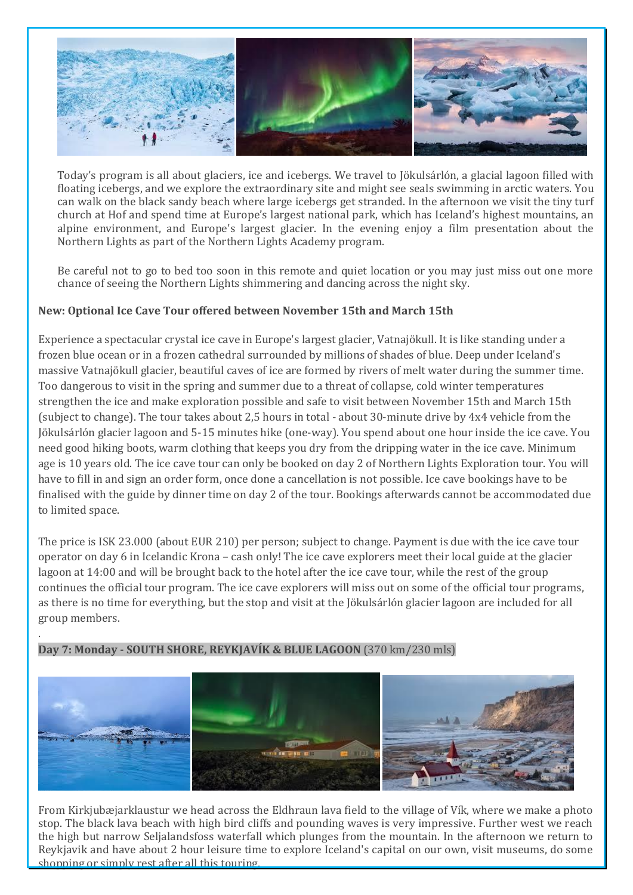

Today's program is all about glaciers, ice and icebergs. We travel to Jökulsárlón, a glacial lagoon filled with floating icebergs, and we explore the extraordinary site and might see seals swimming in arctic waters. You can walk on the black sandy beach where large icebergs get stranded. In the afternoon we visit the tiny turf church at Hof and spend time at Europe's largest national park, which has Iceland's highest mountains, an alpine environment, and Europe's largest glacier. In the evening enjoy a film presentation about the Northern Lights as part of the Northern Lights Academy program.

Be careful not to go to bed too soon in this remote and quiet location or you may just miss out one more chance of seeing the Northern Lights shimmering and dancing across the night sky.

# **New: Optional Ice Cave Tour offered between November 15th and March 15th**

Experience a spectacular crystal ice cave in Europe's largest glacier, Vatnajökull. It is like standing under a frozen blue ocean or in a frozen cathedral surrounded by millions of shades of blue. Deep under Iceland's massive Vatnajökull glacier, beautiful caves of ice are formed by rivers of melt water during the summer time. Too dangerous to visit in the spring and summer due to a threat of collapse, cold winter temperatures strengthen the ice and make exploration possible and safe to visit between November 15th and March 15th (subject to change). The tour takes about 2,5 hours in total - about 30-minute drive by 4x4 vehicle from the Jökulsárlón glacier lagoon and 5-15 minutes hike (one-way). You spend about one hour inside the ice cave. You need good hiking boots, warm clothing that keeps you dry from the dripping water in the ice cave. Minimum age is 10 years old. The ice cave tour can only be booked on day 2 of Northern Lights Exploration tour. You will have to fill in and sign an order form, once done a cancellation is not possible. Ice cave bookings have to be finalised with the guide by dinner time on day 2 of the tour. Bookings afterwards cannot be accommodated due to limited space.

The price is ISK 23.000 (about EUR 210) per person; subject to change. Payment is due with the ice cave tour operator on day 6 in Icelandic Krona – cash only! The ice cave explorers meet their local guide at the glacier lagoon at 14:00 and will be brought back to the hotel after the ice cave tour, while the rest of the group continues the official tour program. The ice cave explorers will miss out on some of the official tour programs, as there is no time for everything, but the stop and visit at the Jökulsárlón glacier lagoon are included for all group members.

# **Day 7: Monday - SOUTH SHORE, REYKJAVÍK & BLUE LAGOON** (370 km/230 mls)

.



From Kirkjubæjarklaustur we head across the Eldhraun lava field to the village of Vík, where we make a photo stop. The black lava beach with high bird cliffs and pounding waves is very impressive. Further west we reach the high but narrow Seljalandsfoss waterfall which plunges from the mountain. In the afternoon we return to Reykjavik and have about 2 hour leisure time to explore Iceland's capital on our own, visit museums, do some shopping or simply rest after all this touring.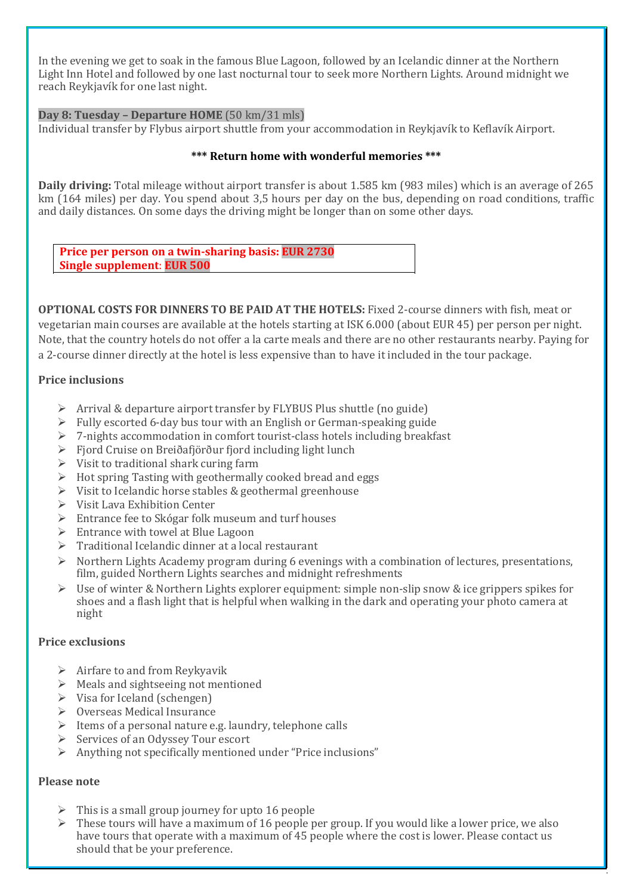In the evening we get to soak in the famous Blue Lagoon, followed by an Icelandic dinner at the Northern Light Inn Hotel and followed by one last nocturnal tour to seek more Northern Lights. Around midnight we reach Reykjavík for one last night.

#### **Day 8: Tuesday – Departure HOME** (50 km/31 mls)

Individual transfer by Flybus airport shuttle from your accommodation in Reykjavík to Keflavík Airport.

#### **\*\*\* Return home with wonderful memories \*\*\***

**Daily driving:** Total mileage without airport transfer is about 1.585 km (983 miles) which is an average of 265 km (164 miles) per day. You spend about 3,5 hours per day on the bus, depending on road conditions, traffic and daily distances. On some days the driving might be longer than on some other days.

**Price per person on a twin-sharing basis: EUR 2730 Single supplement**: **EUR 500**

**OPTIONAL COSTS FOR DINNERS TO BE PAID AT THE HOTELS:** Fixed 2-course dinners with fish, meat or vegetarian main courses are available at the hotels starting at ISK 6.000 (about EUR 45) per person per night. Note, that the country hotels do not offer a la carte meals and there are no other restaurants nearby. Paying for a 2-course dinner directly at the hotel is less expensive than to have it included in the tour package.

#### **Price inclusions**

- ➢ Arrival & departure airport transfer by FLYBUS Plus shuttle (no guide)
- ➢ Fully escorted 6-day bus tour with an English or German-speaking guide
- ➢ 7-nights accommodation in comfort tourist-class hotels including breakfast
- ➢ Fjord Cruise on Breiðafjörður fjord including light lunch
- $\triangleright$  Visit to traditional shark curing farm
- ➢ Hot spring Tasting with geothermally cooked bread and eggs
- ➢ Visit to Icelandic horse stables & geothermal greenhouse
- ➢ Visit Lava Exhibition Center
- ➢ Entrance fee to Skógar folk museum and turf houses
- $\triangleright$  Entrance with towel at Blue Lagoon
- ➢ Traditional Icelandic dinner at a local restaurant
- $\triangleright$  Northern Lights Academy program during 6 evenings with a combination of lectures, presentations, film, guided Northern Lights searches and midnight refreshments
- Use of winter & Northern Lights explorer equipment: simple non-slip snow & ice grippers spikes for shoes and a flash light that is helpful when walking in the dark and operating your photo camera at night

# **Price exclusions**

- $\triangleright$  Airfare to and from Reykyavik
- ➢ Meals and sightseeing not mentioned
- $\triangleright$  Visa for Iceland (schengen)
- ➢ Overseas Medical Insurance
- ➢ Items of a personal nature e.g. laundry, telephone calls
- ➢ Services of an Odyssey Tour escort
- ➢ Anything not specifically mentioned under "Price inclusions"

# **Please note**

- $\triangleright$  This is a small group journey for upto 16 people
- ➢ These tours will have a maximum of 16 people per group. If you would like a lower price, we also have tours that operate with a maximum of 45 people where the cost is lower. Please contact us should that be your preference.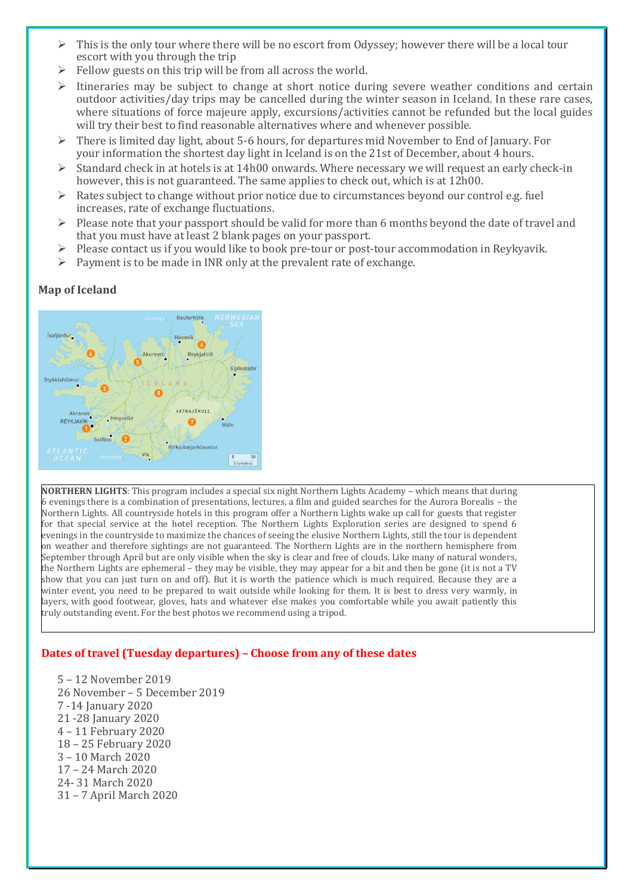- $\triangleright$  This is the only tour where there will be no escort from Odyssey; however there will be a local tour escort with you through the trip
- $\triangleright$  Fellow guests on this trip will be from all across the world.
- ➢ Itineraries may be subject to change at short notice during severe weather conditions and certain outdoor activities/day trips may be cancelled during the winter season in Iceland. In these rare cases, where situations of force majeure apply, excursions/activities cannot be refunded but the local guides will try their best to find reasonable alternatives where and whenever possible.
- ➢ There is limited day light, about 5-6 hours, for departures mid November to End of January. For your information the shortest day light in Iceland is on the 21st of December, about 4 hours.
- ➢ Standard check in at hotels is at 14h00 onwards. Where necessary we will request an early check-in however, this is not guaranteed. The same applies to check out, which is at 12h00.
- $\triangleright$  Rates subject to change without prior notice due to circumstances beyond our control e.g. fuel increases, rate of exchange fluctuations.
- $\triangleright$  Please note that your passport should be valid for more than 6 months beyond the date of travel and that you must have at least 2 blank pages on your passport.
- $\triangleright$  Please contact us if you would like to book pre-tour or post-tour accommodation in Reykyavik.
- $\triangleright$  Payment is to be made in INR only at the prevalent rate of exchange.

# **Map of Iceland**



**NORTHERN LIGHTS**: This program includes a special six night Northern Lights Academy – which means that during 6 evenings there is a combination of presentations, lectures, a film and guided searches for the Aurora Borealis – the Northern Lights. All countryside hotels in this program offer a Northern Lights wake up call for guests that register for that special service at the hotel reception. The Northern Lights Exploration series are designed to spend 6 evenings in the countryside to maximize the chances of seeing the elusive Northern Lights, still the tour is dependent on weather and therefore sightings are not guaranteed. The Northern Lights are in the northern hemisphere from September through April but are only visible when the sky is clear and free of clouds. Like many of natural wonders, the Northern Lights are ephemeral – they may be visible, they may appear for a bit and then be gone (it is not a TV show that you can just turn on and off). But it is worth the patience which is much required. Because they are a winter event, you need to be prepared to wait outside while looking for them. It is best to dress very warmly, in layers, with good footwear, gloves, hats and whatever else makes you comfortable while you await patiently this truly outstanding event. For the best photos we recommend using a tripod.

# **Dates of travel (Tuesday departures) – Choose from any of these dates**

5 – 12 November 2019 26 November – 5 December 2019 7 -14 January 2020 21 -28 January 2020 4 – 11 February 2020 18 – 25 February 2020 3 – 10 March 2020 17 – 24 March 2020 24- 31 March 2020 31 – 7 April March 2020